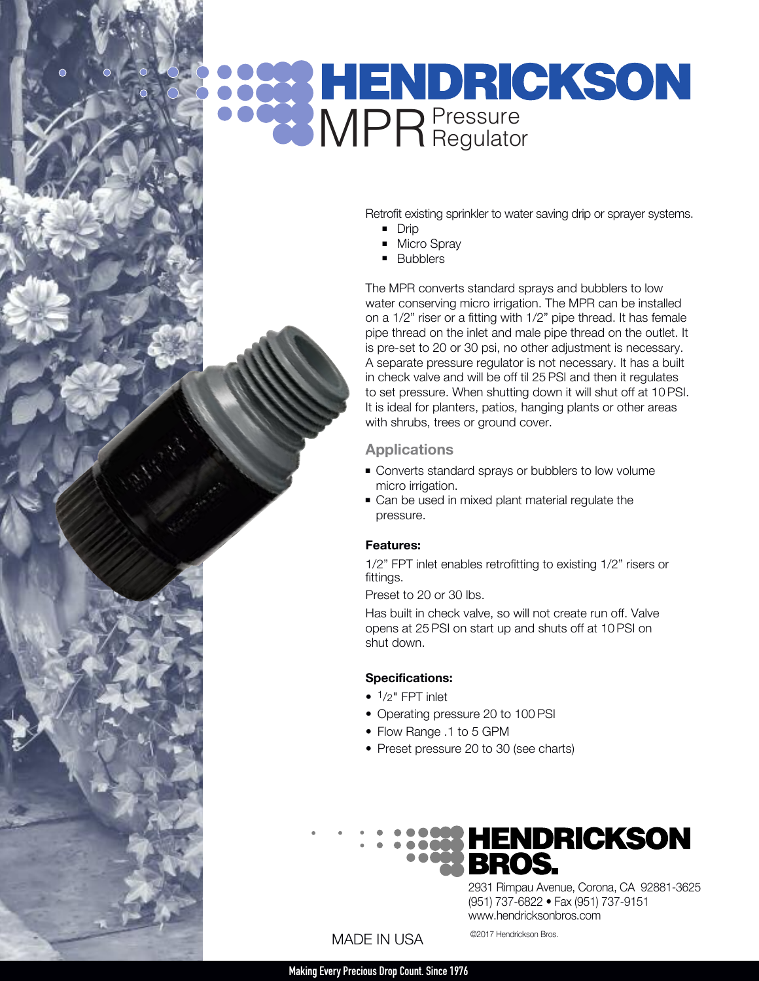# **PRENDRICKSON**

Retrofit existing sprinkler to water saving drip or sprayer systems.

- **n** Drip
- **Nicro Spray**
- **Bubblers**

The MPR converts standard sprays and bubblers to low water conserving micro irrigation. The MPR can be installed on a 1/2" riser or a fitting with 1/2" pipe thread. It has female pipe thread on the inlet and male pipe thread on the outlet. It is pre-set to 20 or 30 psi, no other adjustment is necessary. A separate pressure regulator is not necessary. It has a built in check valve and will be off til 25 PSI and then it regulates to set pressure. When shutting down it will shut off at 10 PSI. It is ideal for planters, patios, hanging plants or other areas with shrubs, trees or ground cover.

#### **Applications**

- **Converts standard sprays or bubblers to low volume** micro irrigation.
- Can be used in mixed plant material regulate the pressure.

#### **Features:**

1/2" FPT inlet enables retrofitting to existing 1/2" risers or fittings.

Preset to 20 or 30 lbs.

Has built in check valve, so will not create run off. Valve opens at 25 PSI on start up and shuts off at 10 PSI on shut down.

#### **Specifications:**

- $\bullet$   $\frac{1}{2}$ " FPT inlet
- Operating pressure 20 to 100 PSI
- Flow Range .1 to 5 GPM
- Preset pressure 20 to 30 (see charts)

# **HENDRICKSON**

2931 Rimpau Avenue, Corona, CA 92881-3625 (951) 737-6822 • Fax (951) 737-9151 www.hendricksonbros.com

### MADE IN USA<sup>©2017 Hendrickson Bros.</sup>

**MakingEvery Precious Drop Count. Since1976**